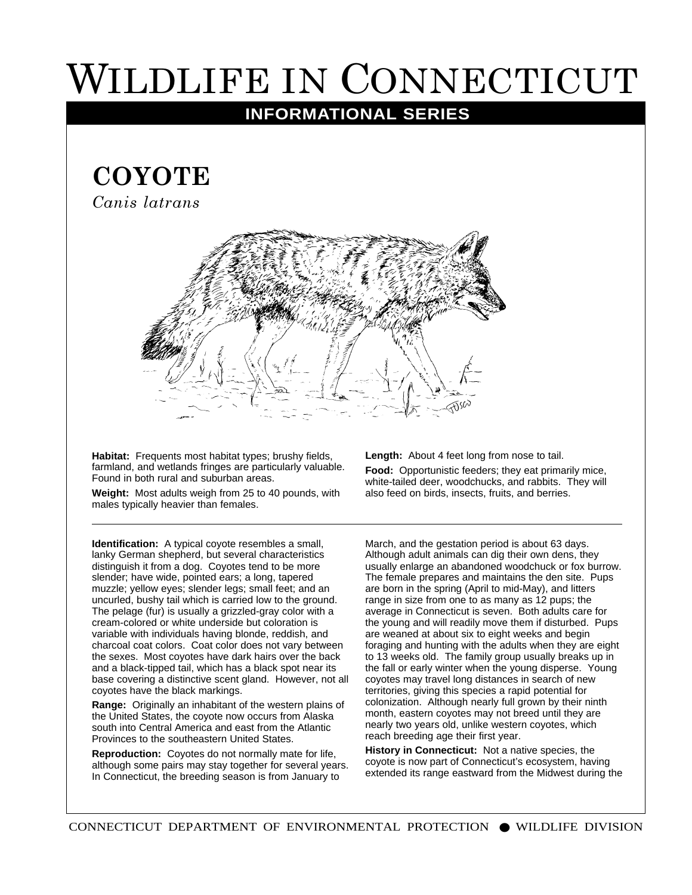## WILDLIFE IN CONNECTICUT

## **INFORMATIONAL SERIES**

## **COYOTE**

*Canis latrans*



**Habitat:** Frequents most habitat types; brushy fields, farmland, and wetlands fringes are particularly valuable. Found in both rural and suburban areas.

**Weight:** Most adults weigh from 25 to 40 pounds, with males typically heavier than females.

**Identification:** A typical coyote resembles a small, lanky German shepherd, but several characteristics distinguish it from a dog. Coyotes tend to be more slender; have wide, pointed ears; a long, tapered muzzle; yellow eyes; slender legs; small feet; and an uncurled, bushy tail which is carried low to the ground. The pelage (fur) is usually a grizzled-gray color with a cream-colored or white underside but coloration is variable with individuals having blonde, reddish, and charcoal coat colors. Coat color does not vary between the sexes. Most coyotes have dark hairs over the back and a black-tipped tail, which has a black spot near its base covering a distinctive scent gland. However, not all coyotes have the black markings.

**Range:** Originally an inhabitant of the western plains of the United States, the coyote now occurs from Alaska south into Central America and east from the Atlantic Provinces to the southeastern United States.

**Reproduction:** Coyotes do not normally mate for life, although some pairs may stay together for several years. In Connecticut, the breeding season is from January to

**Length:** About 4 feet long from nose to tail.

**Food:** Opportunistic feeders; they eat primarily mice, white-tailed deer, woodchucks, and rabbits. They will also feed on birds, insects, fruits, and berries.

March, and the gestation period is about 63 days. Although adult animals can dig their own dens, they usually enlarge an abandoned woodchuck or fox burrow. The female prepares and maintains the den site. Pups are born in the spring (April to mid-May), and litters range in size from one to as many as 12 pups; the average in Connecticut is seven. Both adults care for the young and will readily move them if disturbed. Pups are weaned at about six to eight weeks and begin foraging and hunting with the adults when they are eight to 13 weeks old. The family group usually breaks up in the fall or early winter when the young disperse. Young coyotes may travel long distances in search of new territories, giving this species a rapid potential for colonization. Although nearly full grown by their ninth month, eastern coyotes may not breed until they are nearly two years old, unlike western coyotes, which reach breeding age their first year.

**History in Connecticut:** Not a native species, the coyote is now part of Connecticut's ecosystem, having extended its range eastward from the Midwest during the